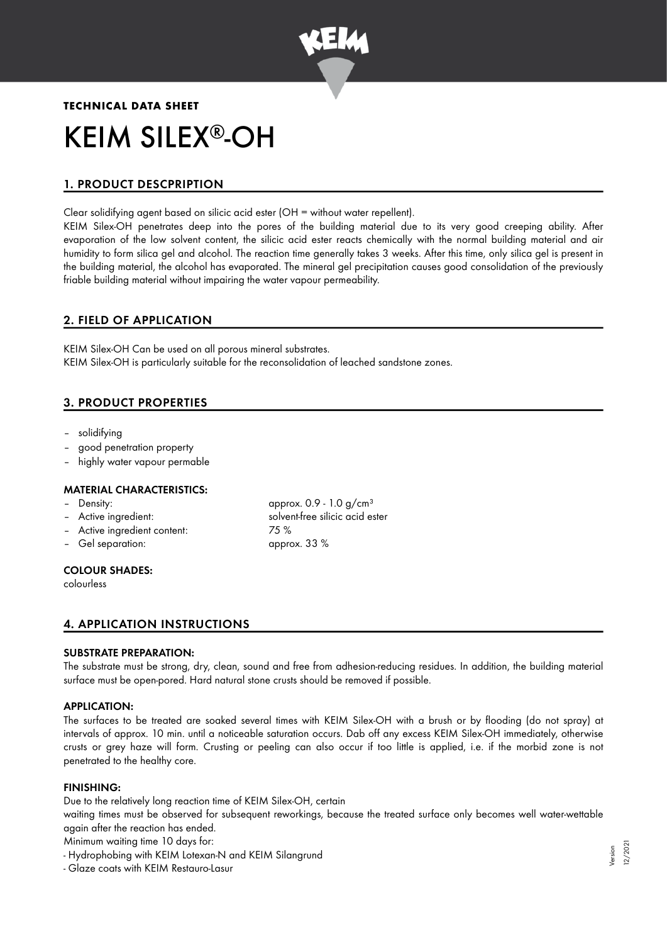

# **TECHNICAL DATA SHEET** KEIM SILEX®-OH

## 1. PRODUCT DESCPRIPTION

Clear solidifying agent based on silicic acid ester (OH = without water repellent).

KEIM Silex-OH penetrates deep into the pores of the building material due to its very good creeping ability. After evaporation of the low solvent content, the silicic acid ester reacts chemically with the normal building material and air humidity to form silica gel and alcohol. The reaction time generally takes 3 weeks. After this time, only silica gel is present in the building material, the alcohol has evaporated. The mineral gel precipitation causes good consolidation of the previously friable building material without impairing the water vapour permeability.

## 2. FIELD OF APPLICATION

KEIM Silex-OH Can be used on all porous mineral substrates. KEIM Silex-OH is particularly suitable for the reconsolidation of leached sandstone zones.

## 3. PRODUCT PROPERTIES

- solidifying
- good penetration property
- highly water vapour permable

#### MATERIAL CHARACTERISTICS:

- 
- 
- Active ingredient content: 75 %
- Gel separation: approx. 33 %

# – Density: approx. 0.9 - 1.0 g/cm<sup>3</sup> – Active ingredient: solvent-free silicic acid ester

### COLOUR SHADES:

colourless

## 4. APPLICATION INSTRUCTIONS

#### SUBSTRATE PREPARATION:

The substrate must be strong, dry, clean, sound and free from adhesion-reducing residues. In addition, the building material surface must be open-pored. Hard natural stone crusts should be removed if possible.

#### APPLICATION:

The surfaces to be treated are soaked several times with KEIM Silex-OH with a brush or by flooding (do not spray) at intervals of approx. 10 min. until a noticeable saturation occurs. Dab off any excess KEIM Silex-OH immediately, otherwise crusts or grey haze will form. Crusting or peeling can also occur if too little is applied, i.e. if the morbid zone is not penetrated to the healthy core.

#### FINISHING:

Due to the relatively long reaction time of KEIM Silex-OH, certain

waiting times must be observed for subsequent reworkings, because the treated surface only becomes well water-wettable again after the reaction has ended.

Minimum waiting time 10 days for:

- Hydrophobing with KEIM Lotexan-N and KEIM Silangrund

- Glaze coats with KEIM Restauro-Lasur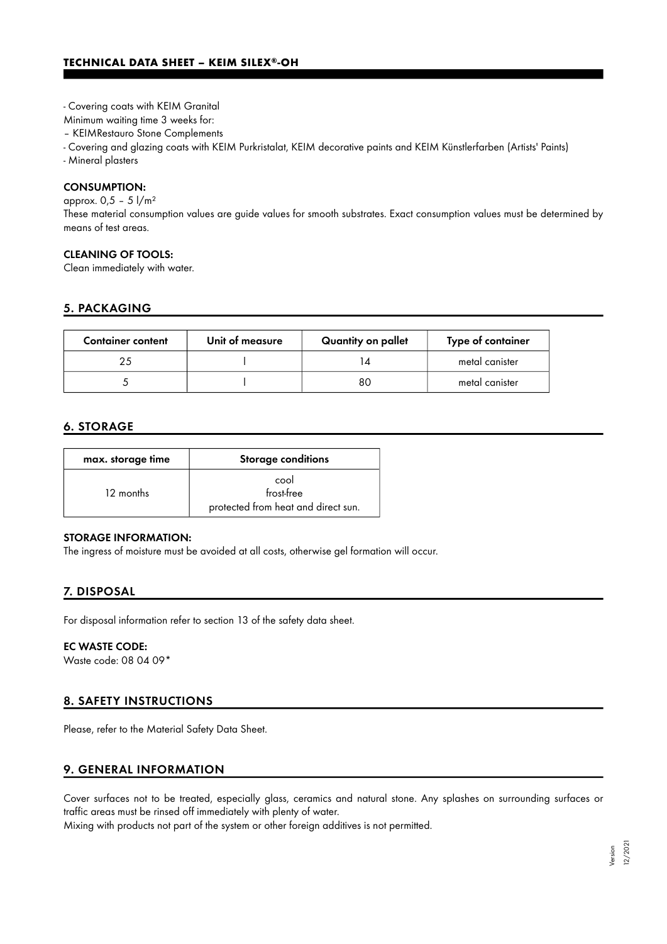- Covering coats with KEIM Granital

Minimum waiting time 3 weeks for:

– KEIMRestauro Stone Complements

- Covering and glazing coats with KEIM Purkristalat, KEIM decorative paints and KEIM Künstlerfarben (Artists' Paints)

- Mineral plasters

#### CONSUMPTION:

approx. 0,5 – 5 l/m²

These material consumption values are guide values for smooth substrates. Exact consumption values must be determined by means of test areas.

#### CLEANING OF TOOLS:

Clean immediately with water.

### 5. PACKAGING

| <b>Container content</b> | Unit of measure | Quantity on pallet | Type of container |
|--------------------------|-----------------|--------------------|-------------------|
|                          |                 |                    | metal canister    |
|                          |                 | 80                 | metal canister    |

#### 6. STORAGE

| max. storage time | Storage conditions                                        |  |
|-------------------|-----------------------------------------------------------|--|
| 12 months         | cool<br>frost-free<br>protected from heat and direct sun. |  |

#### STORAGE INFORMATION:

The ingress of moisture must be avoided at all costs, otherwise gel formation will occur.

#### 7. DISPOSAL

For disposal information refer to section 13 of the safety data sheet.

#### EC WASTE CODE:

Waste code: 08 04 09\*

### 8. SAFETY INSTRUCTIONS

Please, refer to the Material Safety Data Sheet.

### 9. GENERAL INFORMATION

Cover surfaces not to be treated, especially glass, ceramics and natural stone. Any splashes on surrounding surfaces or traffic areas must be rinsed off immediately with plenty of water.

Mixing with products not part of the system or other foreign additives is not permitted.